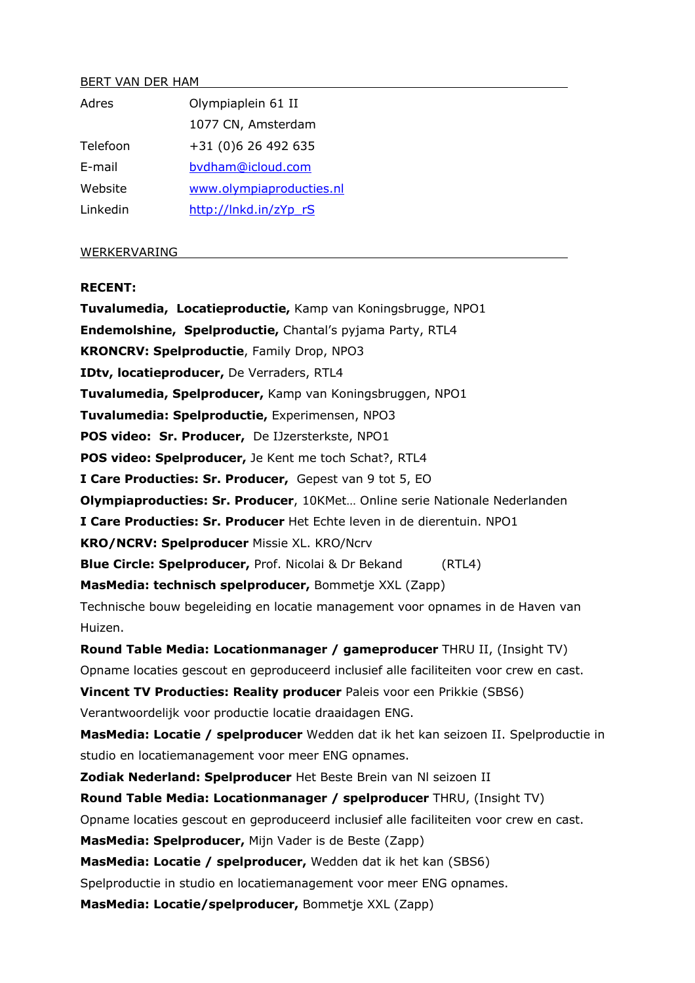#### BERT VAN DER HAM

| Adres    | Olympiaplein 61 II       |
|----------|--------------------------|
|          | 1077 CN, Amsterdam       |
| Telefoon | +31 (0)6 26 492 635      |
| E-mail   | bydham@icloud.com        |
| Website  | www.olympiaproducties.nl |
| Linkedin | http://lnkd.in/zYp_rS    |

### WERKERVARING

### **RECENT:**

**Tuvalumedia, Locatieproductie,** Kamp van Koningsbrugge, NPO1 **Endemolshine, Spelproductie,** Chantal's pyjama Party, RTL4 **KRONCRV: Spelproductie**, Family Drop, NPO3 **IDtv, locatieproducer,** De Verraders, RTL4 **Tuvalumedia, Spelproducer,** Kamp van Koningsbruggen, NPO1 **Tuvalumedia: Spelproductie,** Experimensen, NPO3 **POS video: Sr. Producer,** De IJzersterkste, NPO1 **POS video: Spelproducer,** Je Kent me toch Schat?, RTL4 **I Care Producties: Sr. Producer,** Gepest van 9 tot 5, EO **Olympiaproducties: Sr. Producer**, 10KMet… Online serie Nationale Nederlanden **I Care Producties: Sr. Producer** Het Echte leven in de dierentuin. NPO1 **KRO/NCRV: Spelproducer** Missie XL. KRO/Ncrv **Blue Circle: Spelproducer, Prof. Nicolai & Dr Bekand (RTL4) MasMedia: technisch spelproducer,** Bommetje XXL (Zapp) Technische bouw begeleiding en locatie management voor opnames in de Haven van Huizen. **Round Table Media: Locationmanager / gameproducer** THRU II, (Insight TV) Opname locaties gescout en geproduceerd inclusief alle faciliteiten voor crew en cast. **Vincent TV Producties: Reality producer** Paleis voor een Prikkie (SBS6) Verantwoordelijk voor productie locatie draaidagen ENG. **MasMedia: Locatie / spelproducer** Wedden dat ik het kan seizoen II. Spelproductie in studio en locatiemanagement voor meer ENG opnames. **Zodiak Nederland: Spelproducer** Het Beste Brein van Nl seizoen II **Round Table Media: Locationmanager / spelproducer** THRU, (Insight TV) Opname locaties gescout en geproduceerd inclusief alle faciliteiten voor crew en cast. **MasMedia: Spelproducer,** Mijn Vader is de Beste (Zapp) **MasMedia: Locatie / spelproducer,** Wedden dat ik het kan (SBS6) Spelproductie in studio en locatiemanagement voor meer ENG opnames. **MasMedia: Locatie/spelproducer,** Bommetje XXL (Zapp)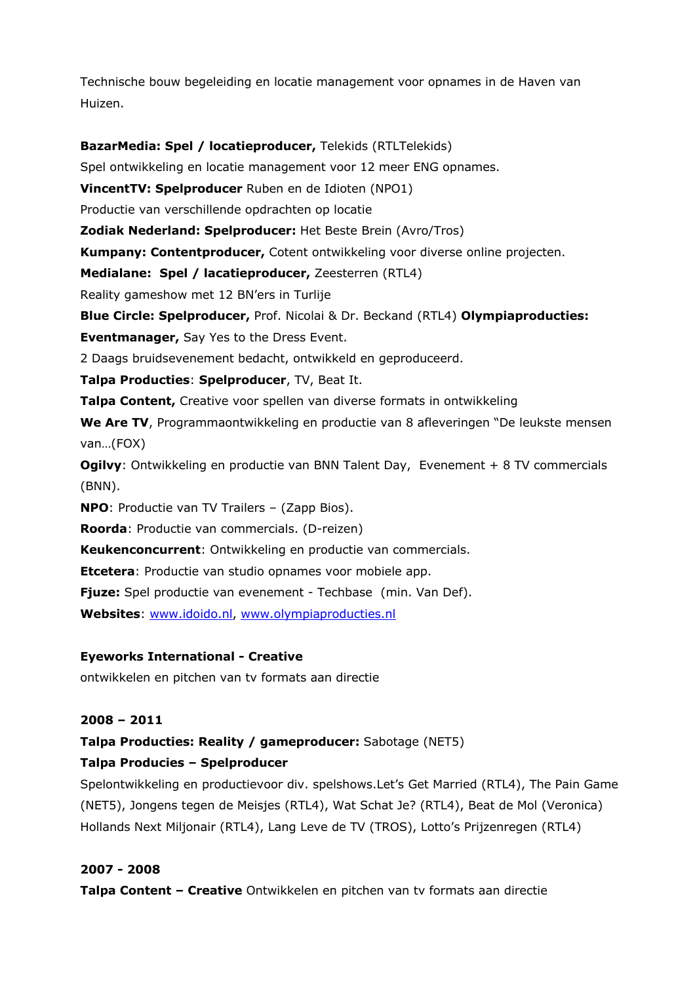Technische bouw begeleiding en locatie management voor opnames in de Haven van Huizen.

**BazarMedia: Spel / locatieproducer,** Telekids (RTLTelekids) Spel ontwikkeling en locatie management voor 12 meer ENG opnames. **VincentTV: Spelproducer** Ruben en de Idioten (NPO1) Productie van verschillende opdrachten op locatie **Zodiak Nederland: Spelproducer:** Het Beste Brein (Avro/Tros) **Kumpany: Contentproducer,** Cotent ontwikkeling voor diverse online projecten. **Medialane: Spel / lacatieproducer,** Zeesterren (RTL4) Reality gameshow met 12 BN'ers in Turlije **Blue Circle: Spelproducer,** Prof. Nicolai & Dr. Beckand (RTL4) **Olympiaproducties: Eventmanager,** Say Yes to the Dress Event. 2 Daags bruidsevenement bedacht, ontwikkeld en geproduceerd. **Talpa Producties**: **Spelproducer**, TV, Beat It. **Talpa Content,** Creative voor spellen van diverse formats in ontwikkeling **We Are TV**, Programmaontwikkeling en productie van 8 afleveringen "De leukste mensen van…(FOX) **Ogilvy**: Ontwikkeling en productie van BNN Talent Day, Evenement + 8 TV commercials (BNN). **NPO**: Productie van TV Trailers – (Zapp Bios). **Roorda**: Productie van commercials. (D-reizen) **Keukenconcurrent**: Ontwikkeling en productie van commercials. **Etcetera**: Productie van studio opnames voor mobiele app. **Fjuze:** Spel productie van evenement - Techbase (min. Van Def). **Websites**: www.idoido.nl, www.olympiaproducties.nl

# **Eyeworks International - Creative**

ontwikkelen en pitchen van tv formats aan directie

### **2008 – 2011**

**Talpa Producties: Reality / gameproducer:** Sabotage (NET5)

# **Talpa Producies – Spelproducer**

Spelontwikkeling en productievoor div. spelshows.Let's Get Married (RTL4), The Pain Game (NET5), Jongens tegen de Meisjes (RTL4), Wat Schat Je? (RTL4), Beat de Mol (Veronica) Hollands Next Miljonair (RTL4), Lang Leve de TV (TROS), Lotto's Prijzenregen (RTL4)

# **2007 - 2008**

**Talpa Content – Creative** Ontwikkelen en pitchen van tv formats aan directie